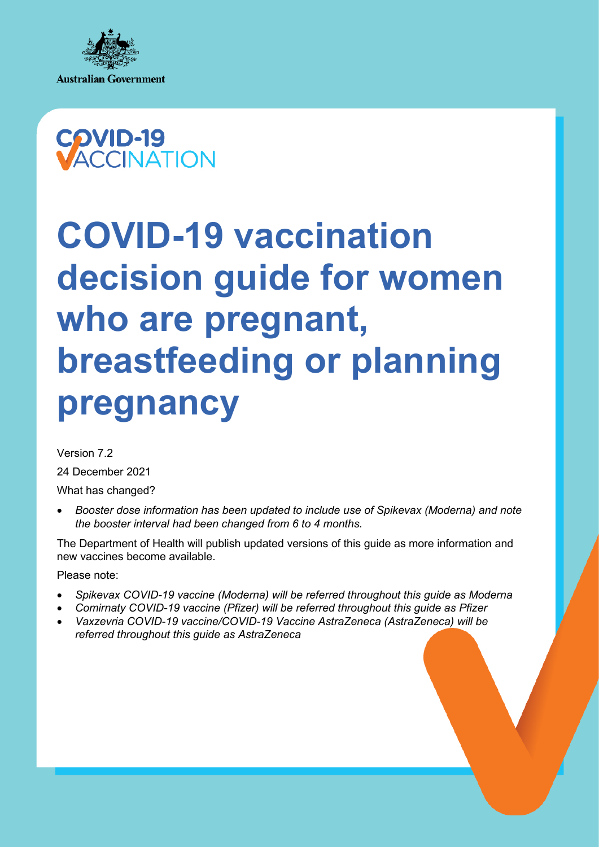



# **COVID-19 vaccination decision guide for women who are pregnant, breastfeeding or planning pregnancy**

Version 7.2 24 December 2021 What has changed?

• *Booster dose information has been updated to include use of Spikevax (Moderna) and note the booster interval had been changed from 6 to 4 months.*

The Department of Health will publish updated versions of this guide as more information and new vaccines become available.

Please note:

- *Spikevax COVID-19 vaccine (Moderna) will be referred throughout this guide as Moderna*
- *Comirnaty COVID-19 vaccine (Pfizer) will be referred throughout this guide as Pfizer*
- *Vaxzevria COVID-19 vaccine/COVID-19 Vaccine AstraZeneca (AstraZeneca) will be referred throughout this guide as AstraZeneca*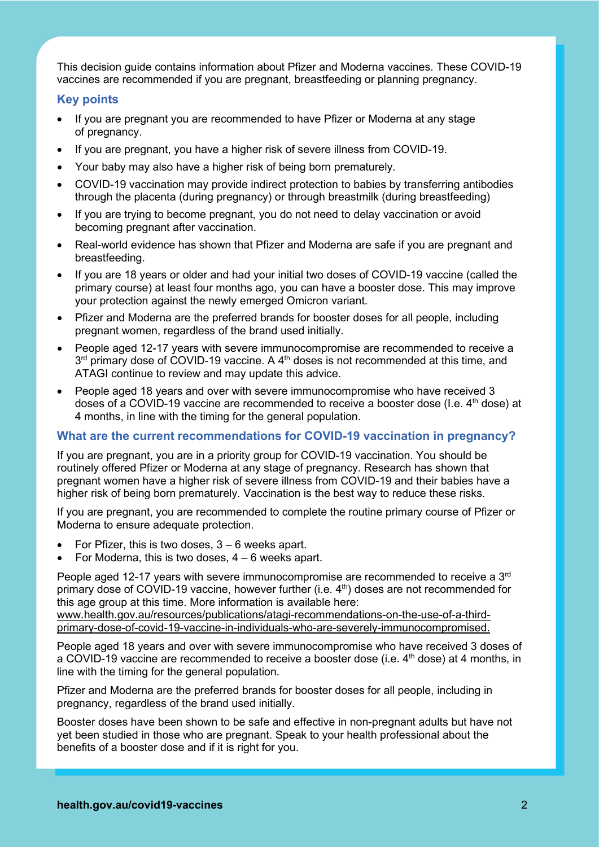This decision guide contains information about Pfizer and Moderna vaccines. These COVID-19 vaccines are recommended if you are pregnant, breastfeeding or planning pregnancy.

# **Key points**

- If you are pregnant you are recommended to have Pfizer or Moderna at any stage of pregnancy.
- If you are pregnant, you have a higher risk of severe illness from COVID-19.
- Your baby may also have a higher risk of being born prematurely.
- COVID-19 vaccination may provide indirect protection to babies by transferring antibodies through the placenta (during pregnancy) or through breastmilk (during breastfeeding)
- If you are trying to become pregnant, you do not need to delay vaccination or avoid becoming pregnant after vaccination.
- Real-world evidence has shown that Pfizer and Moderna are safe if you are pregnant and breastfeeding.
- If you are 18 years or older and had your initial two doses of COVID-19 vaccine (called the primary course) at least four months ago, you can have a booster dose. This may improve your protection against the newly emerged Omicron variant.
- Pfizer and Moderna are the preferred brands for booster doses for all people, including pregnant women, regardless of the brand used initially.
- People aged 12-17 years with severe immunocompromise are recommended to receive a 3<sup>rd</sup> primary dose of COVID-19 vaccine. A 4<sup>th</sup> doses is not recommended at this time, and ATAGI continue to review and may update this advice.
- People aged 18 years and over with severe immunocompromise who have received 3 doses of a COVID-19 vaccine are recommended to receive a booster dose (I.e.  $4<sup>th</sup>$  dose) at 4 months, in line with the timing for the general population.

## **What are the current recommendations for COVID-19 vaccination in pregnancy?**

If you are pregnant, you are in a priority group for COVID-19 vaccination. You should be routinely offered Pfizer or Moderna at any stage of pregnancy. Research has shown that pregnant women have a higher risk of severe illness from COVID-19 and their babies have a higher risk of being born prematurely. Vaccination is the best way to reduce these risks.

If you are pregnant, you are recommended to complete the routine primary course of Pfizer or Moderna to ensure adequate protection.

- For Pfizer, this is two doses,  $3 6$  weeks apart.
- For Moderna, this is two doses,  $4 6$  weeks apart.

People aged 12-17 years with severe immunocompromise are recommended to receive a  $3<sup>rd</sup>$ primary dose of COVID-19 vaccine, however further (i.e.  $4<sup>th</sup>$ ) doses are not recommended for this age group at this time. More information is available here:

[www.health.gov.au/resources/publications/atagi-recommendations-on-the-use-of-a-third](http://www.health.gov.au/resources/publications/atagi-recommendations-on-the-use-of-a-third-primary-dose-of-covid-19-vaccine-in-individuals-who-are-severely-immunocompromised)[primary-dose-of-covid-19-vaccine-in-individuals-who-are-severely-immunocompromised.](http://www.health.gov.au/resources/publications/atagi-recommendations-on-the-use-of-a-third-primary-dose-of-covid-19-vaccine-in-individuals-who-are-severely-immunocompromised)

People aged 18 years and over with severe immunocompromise who have received 3 doses of a COVID-19 vaccine are recommended to receive a booster dose (i.e.  $4<sup>th</sup>$  dose) at 4 months, in line with the timing for the general population.

Pfizer and Moderna are the preferred brands for booster doses for all people, including in pregnancy, regardless of the brand used initially.

Booster doses have been shown to be safe and effective in non-pregnant adults but have not yet been studied in those who are pregnant. Speak to your health professional about the benefits of a booster dose and if it is right for you.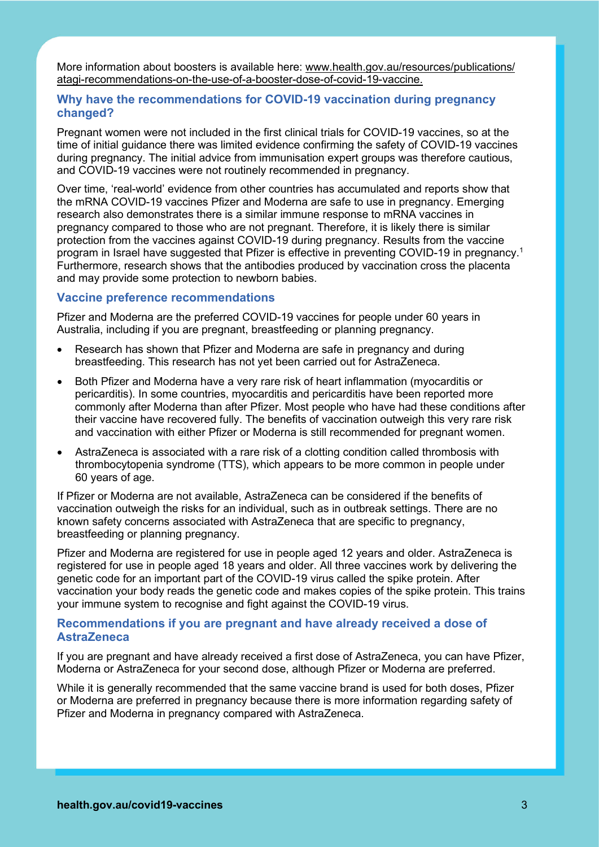More information about boosters is available here: www.health.gov.au/resources/publications/ atagi-recommendations-on-the-use-of-a-booster-dose-of-covid-19-vaccine.

# **Why have the recommendations for COVID-19 vaccination during pregnancy changed?**

Pregnant women were not included in the first clinical trials for COVID-19 vaccines, so at the time of initial guidance there was limited evidence confirming the safety of COVID-19 vaccines during pregnancy. The initial advice from immunisation expert groups was therefore cautious, and COVID-19 vaccines were not routinely recommended in pregnancy.

Over time, 'real-world' evidence from other countries has accumulated and reports show that the mRNA COVID-19 vaccines Pfizer and Moderna are safe to use in pregnancy. Emerging research also demonstrates there is a similar immune response to mRNA vaccines in pregnancy compared to those who are not pregnant. Therefore, it is likely there is similar protection from the vaccines against COVID-19 during pregnancy. Results from the vaccine program in Israel have suggested that Pfizer is effective in preventing COVID-19 in pregnancy. 1 Furthermore, research shows that the antibodies produced by vaccination cross the placenta and may provide some protection to newborn babies.

#### **Vaccine preference recommendations**

Pfizer and Moderna are the preferred COVID-19 vaccines for people under 60 years in Australia, including if you are pregnant, breastfeeding or planning pregnancy.

- Research has shown that Pfizer and Moderna are safe in pregnancy and during breastfeeding. This research has not yet been carried out for AstraZeneca.
- Both Pfizer and Moderna have a very rare risk of heart inflammation (myocarditis or pericarditis). In some countries, myocarditis and pericarditis have been reported more commonly after Moderna than after Pfizer. Most people who have had these conditions after their vaccine have recovered fully. The benefits of vaccination outweigh this very rare risk and vaccination with either Pfizer or Moderna is still recommended for pregnant women.
- AstraZeneca is associated with a rare risk of a clotting condition called thrombosis with thrombocytopenia syndrome (TTS), which appears to be more common in people under 60 years of age.

If Pfizer or Moderna are not available, AstraZeneca can be considered if the benefits of vaccination outweigh the risks for an individual, such as in outbreak settings. There are no known safety concerns associated with AstraZeneca that are specific to pregnancy, breastfeeding or planning pregnancy.

Pfizer and Moderna are registered for use in people aged 12 years and older. AstraZeneca is registered for use in people aged 18 years and older. All three vaccines work by delivering the genetic code for an important part of the COVID-19 virus called the spike protein. After vaccination your body reads the genetic code and makes copies of the spike protein. This trains your immune system to recognise and fight against the COVID-19 virus.

## **Recommendations if you are pregnant and have already received a dose of AstraZeneca**

If you are pregnant and have already received a first dose of AstraZeneca, you can have Pfizer, Moderna or AstraZeneca for your second dose, although Pfizer or Moderna are preferred.

While it is generally recommended that the same vaccine brand is used for both doses, Pfizer or Moderna are preferred in pregnancy because there is more information regarding safety of Pfizer and Moderna in pregnancy compared with AstraZeneca.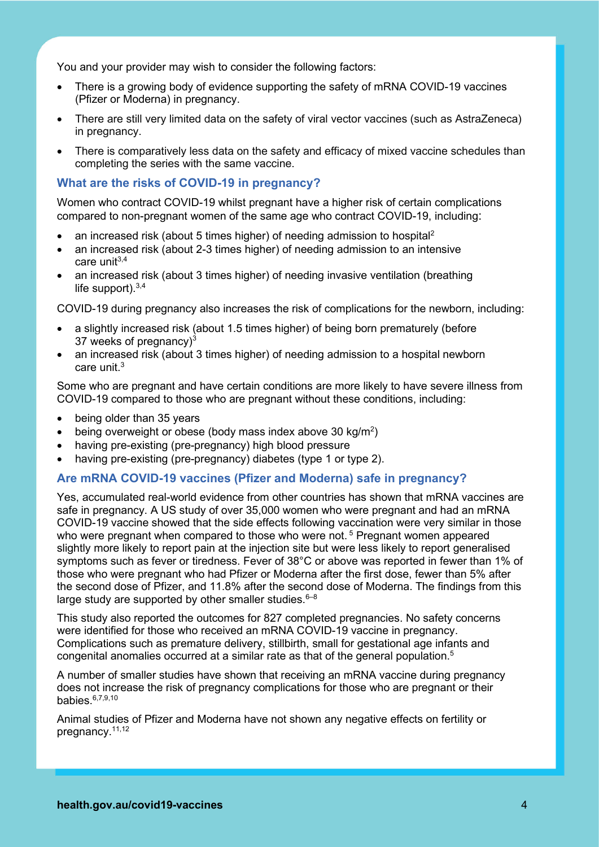You and your provider may wish to consider the following factors:

- There is a growing body of evidence supporting the safety of mRNA COVID-19 vaccines (Pfizer or Moderna) in pregnancy.
- There are still very limited data on the safety of viral vector vaccines (such as AstraZeneca) in pregnancy.
- There is comparatively less data on the safety and efficacy of mixed vaccine schedules than completing the series with the same vaccine.

# **What are the risks of COVID-19 in pregnancy?**

Women who contract COVID-19 whilst pregnant have a higher risk of certain complications compared to non-pregnant women of the same age who contract COVID-19, including:

- an increased risk (about 5 times higher) of needing admission to hospital<sup>2</sup>
- an increased risk (about 2-3 times higher) of needing admission to an intensive care unit $3,4$
- an increased risk (about 3 times higher) of needing invasive ventilation (breathing life support). 3,4

COVID-19 during pregnancy also increases the risk of complications for the newborn, including:

- a slightly increased risk (about 1.5 times higher) of being born prematurely (before 37 weeks of pregnancy $)^3$
- an increased risk (about 3 times higher) of needing admission to a hospital newborn care unit. 3

Some who are pregnant and have certain conditions are more likely to have severe illness from COVID-19 compared to those who are pregnant without these conditions, including:

- being older than 35 years
- being overweight or obese (body mass index above 30 kg/m<sup>2</sup>)
- having pre-existing (pre-pregnancy) high blood pressure
- having pre-existing (pre-pregnancy) diabetes (type 1 or type 2).

## **Are mRNA COVID-19 vaccines (Pfizer and Moderna) safe in pregnancy?**

Yes, accumulated real-world evidence from other countries has shown that mRNA vaccines are safe in pregnancy. A US study of over 35,000 women who were pregnant and had an mRNA COVID-19 vaccine showed that the side effects following vaccination were very similar in those who were pregnant when compared to those who were not.<sup>5</sup> Pregnant women appeared slightly more likely to report pain at the injection site but were less likely to report generalised symptoms such as fever or tiredness. Fever of 38°C or above was reported in fewer than 1% of those who were pregnant who had Pfizer or Moderna after the first dose, fewer than 5% after the second dose of Pfizer, and 11.8% after the second dose of Moderna. The findings from this large study are supported by other smaller studies. $6-8$ 

This study also reported the outcomes for 827 completed pregnancies. No safety concerns were identified for those who received an mRNA COVID-19 vaccine in pregnancy. Complications such as premature delivery, stillbirth, small for gestational age infants and congenital anomalies occurred at a similar rate as that of the general population.5

A number of smaller studies have shown that receiving an mRNA vaccine during pregnancy does not increase the risk of pregnancy complications for those who are pregnant or their babies.6,7,9,10

Animal studies of Pfizer and Moderna have not shown any negative effects on fertility or pregnancy.11,12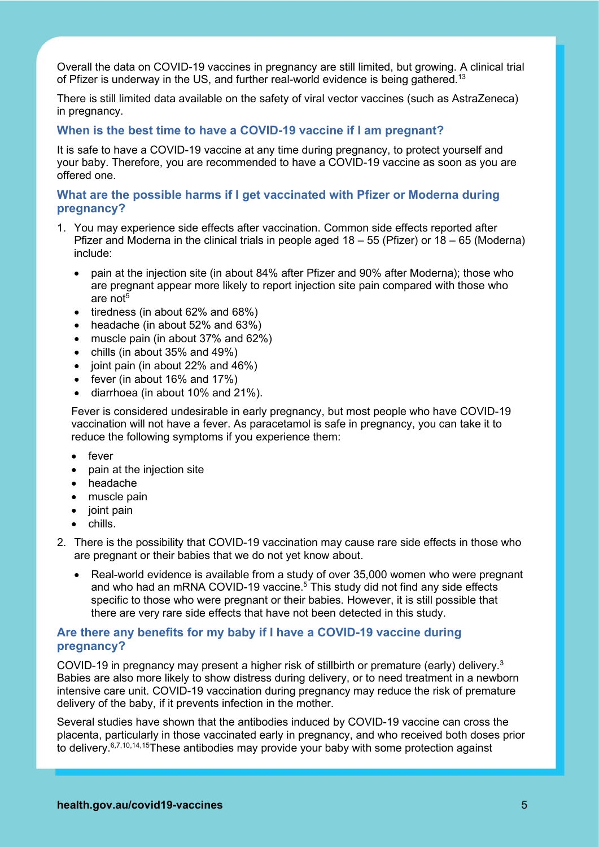Overall the data on COVID-19 vaccines in pregnancy are still limited, but growing. A clinical trial of Pfizer is underway in the US, and further real-world evidence is being gathered.<sup>13</sup>

There is still limited data available on the safety of viral vector vaccines (such as AstraZeneca) in pregnancy.

#### **When is the best time to have a COVID-19 vaccine if I am pregnant?**

It is safe to have a COVID-19 vaccine at any time during pregnancy, to protect yourself and your baby. Therefore, you are recommended to have a COVID-19 vaccine as soon as you are offered one.

## **What are the possible harms if I get vaccinated with Pfizer or Moderna during pregnancy?**

- 1. You may experience side effects after vaccination. Common side effects reported after Pfizer and Moderna in the clinical trials in people aged 18 – 55 (Pfizer) or 18 – 65 (Moderna) include:
	- pain at the injection site (in about 84% after Pfizer and 90% after Moderna); those who are pregnant appear more likely to report injection site pain compared with those who are not $5$
	- tiredness (in about 62% and 68%)
	- headache (in about 52% and 63%)
	- muscle pain (in about 37% and 62%)
	- chills (in about 35% and 49%)
	- joint pain (in about 22% and 46%)
	- fever (in about 16% and 17%)
	- diarrhoea (in about 10% and 21%).

Fever is considered undesirable in early pregnancy, but most people who have COVID-19 vaccination will not have a fever. As paracetamol is safe in pregnancy, you can take it to reduce the following symptoms if you experience them:

- fever
- pain at the injection site
- headache
- muscle pain
- joint pain
- chills.
- 2. There is the possibility that COVID-19 vaccination may cause rare side effects in those who are pregnant or their babies that we do not yet know about.
	- Real-world evidence is available from a study of over 35,000 women who were pregnant and who had an mRNA COVID-19 vaccine.<sup>5</sup> This study did not find any side effects specific to those who were pregnant or their babies. However, it is still possible that there are very rare side effects that have not been detected in this study.

## **Are there any benefits for my baby if I have a COVID-19 vaccine during pregnancy?**

COVID-19 in pregnancy may present a higher risk of stillbirth or premature (early) delivery.<sup>3</sup> Babies are also more likely to show distress during delivery, or to need treatment in a newborn intensive care unit. COVID-19 vaccination during pregnancy may reduce the risk of premature delivery of the baby, if it prevents infection in the mother.

Several studies have shown that the antibodies induced by COVID-19 vaccine can cross the placenta, particularly in those vaccinated early in pregnancy, and who received both doses prior to delivery.6,7,10,14,15These antibodies may provide your baby with some protection against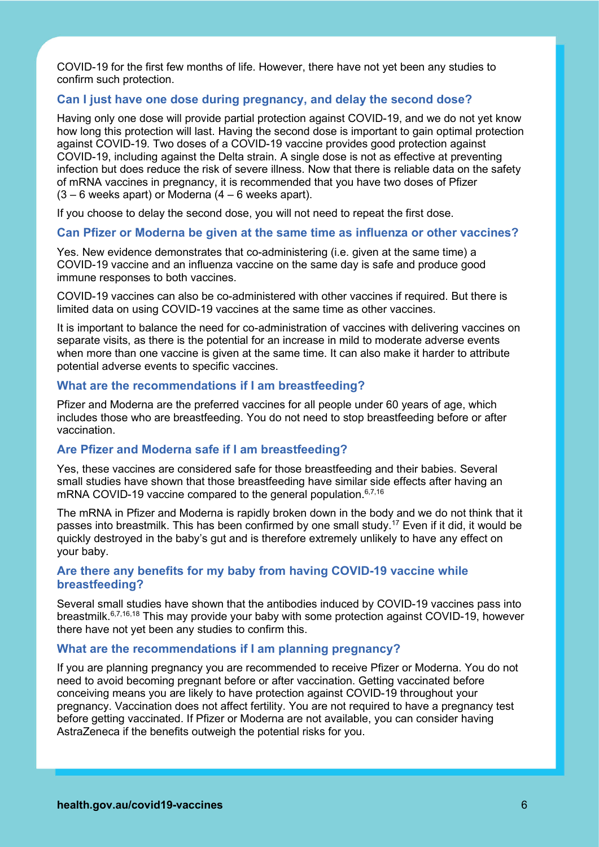COVID-19 for the first few months of life. However, there have not yet been any studies to confirm such protection.

## **Can I just have one dose during pregnancy, and delay the second dose?**

Having only one dose will provide partial protection against COVID-19, and we do not yet know how long this protection will last. Having the second dose is important to gain optimal protection against COVID-19. Two doses of a COVID-19 vaccine provides good protection against COVID-19, including against the Delta strain. A single dose is not as effective at preventing infection but does reduce the risk of severe illness. Now that there is reliable data on the safety of mRNA vaccines in pregnancy, it is recommended that you have two doses of Pfizer  $(3 - 6$  weeks apart) or Moderna  $(4 - 6$  weeks apart).

If you choose to delay the second dose, you will not need to repeat the first dose.

#### **Can Pfizer or Moderna be given at the same time as influenza or other vaccines?**

Yes. [New evidence](https://papers.ssrn.com/sol3/papers.cfm?abstract_id=3931758) demonstrates that co-administering (i.e. given at the same time) a COVID-19 vaccine and an influenza vaccine on the same day is safe and produce good immune responses to both vaccines.

COVID-19 vaccines can also be co-administered with other vaccines if required. But there is limited data on using COVID-19 vaccines at the same time as other vaccines.

It is important to balance the need for co-administration of vaccines with delivering vaccines on separate visits, as there is the potential for an increase in mild to moderate adverse events when more than one vaccine is given at the same time. It can also make it harder to attribute potential adverse events to specific vaccines.

#### **What are the recommendations if I am breastfeeding?**

Pfizer and Moderna are the preferred vaccines for all people under 60 years of age, which includes those who are breastfeeding. You do not need to stop breastfeeding before or after vaccination.

# **Are Pfizer and Moderna safe if I am breastfeeding?**

Yes, these vaccines are considered safe for those breastfeeding and their babies. Several small studies have shown that those breastfeeding have similar side effects after having an mRNA COVID-19 vaccine compared to the general population. 6,7,16

The mRNA in Pfizer and Moderna is rapidly broken down in the body and we do not think that it passes into breastmilk. This has been confirmed by one small study.17 Even if it did, it would be quickly destroyed in the baby's gut and is therefore extremely unlikely to have any effect on your baby.

# **Are there any benefits for my baby from having COVID-19 vaccine while breastfeeding?**

Several small studies have shown that the antibodies induced by COVID-19 vaccines pass into breastmilk.6,7,16,18 This may provide your baby with some protection against COVID-19, however there have not yet been any studies to confirm this.

#### **What are the recommendations if I am planning pregnancy?**

If you are planning pregnancy you are recommended to receive Pfizer or Moderna. You do not need to avoid becoming pregnant before or after vaccination. Getting vaccinated before conceiving means you are likely to have protection against COVID-19 throughout your pregnancy. Vaccination does not affect fertility. You are not required to have a pregnancy test before getting vaccinated. If Pfizer or Moderna are not available, you can consider having AstraZeneca if the benefits outweigh the potential risks for you.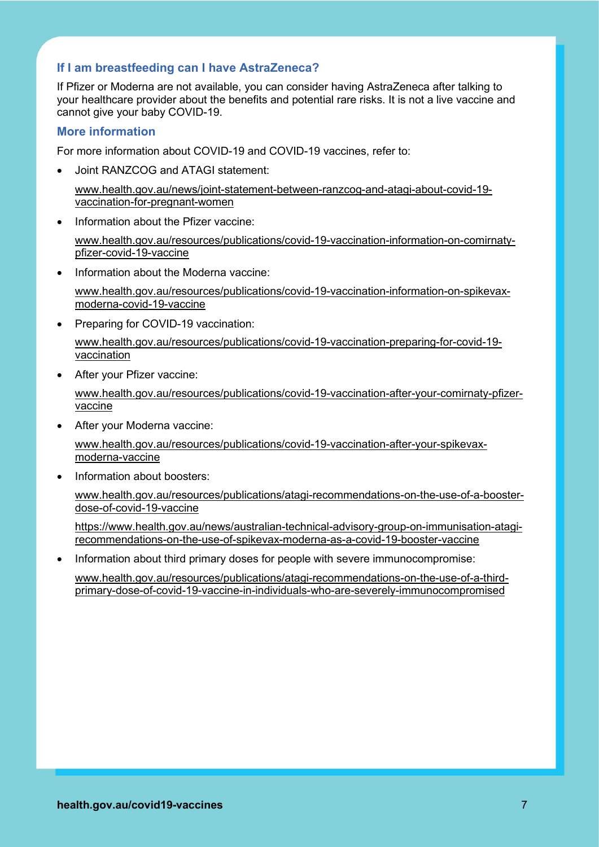# **If I am breastfeeding can I have AstraZeneca?**

If Pfizer or Moderna are not available, you can consider having AstraZeneca after talking to your healthcare provider about the benefits and potential rare risks. It is not a live vaccine and cannot give your baby COVID-19.

## **More information**

For more information about COVID-19 and COVID-19 vaccines, refer to:

• Joint RANZCOG and ATAGI statement:

[www.health.gov.au/news/joint-statement-between-ranzcog-and-atagi-about-covid-19](http://www.health.gov.au/news/joint-statement-between-ranzcog-and-atagi-about-covid-19-vaccination-for-pregnant-women) [vaccination-for-pregnant-women](http://www.health.gov.au/news/joint-statement-between-ranzcog-and-atagi-about-covid-19-vaccination-for-pregnant-women)

• Information about the Pfizer vaccine:

[www.health.gov.au/resources/publications/covid-19-vaccination-information-on-comirnaty](http://www.health.gov.au/resources/publications/covid-19-vaccination-information-on-comirnaty-pfizer-covid-19-vaccine)[pfizer-covid-19-vaccine](http://www.health.gov.au/resources/publications/covid-19-vaccination-information-on-comirnaty-pfizer-covid-19-vaccine)

• Information about the Moderna vaccine:

[www.health.gov.au/resources/publications/covid-19-vaccination-information-on-spikevax](http://www.health.gov.au/resources/publications/covid-19-vaccination-information-on-spikevax-moderna-covid-19-vaccine)[moderna-covid-19-vaccine](http://www.health.gov.au/resources/publications/covid-19-vaccination-information-on-spikevax-moderna-covid-19-vaccine)

• Preparing for COVID-19 vaccination:

[www.health.gov.au/resources/publications/covid-19-vaccination-preparing-for-covid-19](https://www.health.gov.au/resources/publications/covid-19-vaccination-preparing-for-covid-19-vaccination) [vaccination](https://www.health.gov.au/resources/publications/covid-19-vaccination-preparing-for-covid-19-vaccination)

• After your Pfizer vaccine:

[www.health.gov.au/resources/publications/covid-19-vaccination-after-your-comirnaty-pfizer](https://www.health.gov.au/resources/publications/covid-19-vaccination-after-your-comirnaty-pfizer-vaccine)[vaccine](https://www.health.gov.au/resources/publications/covid-19-vaccination-after-your-comirnaty-pfizer-vaccine)

- After your Moderna vaccine: [www.health.gov.au/resources/publications/covid-19-vaccination-after-your-spikevax](https://www.health.gov.au/resources/publications/covid-19-vaccination-after-your-spikevax-moderna-vaccine)[moderna-vaccine](https://www.health.gov.au/resources/publications/covid-19-vaccination-after-your-spikevax-moderna-vaccine)
- Information about boosters:

[www.health.gov.au/resources/publications/atagi-recommendations-on-the-use-of-a-booster](https://www.health.gov.au/resources/publications/atagi-recommendations-on-the-use-of-a-booster-dose-of-covid-19-vaccine)[dose-of-covid-19-vaccine](https://www.health.gov.au/resources/publications/atagi-recommendations-on-the-use-of-a-booster-dose-of-covid-19-vaccine)

[https://www.health.gov.au/news/australian-technical-advisory-group-on-immunisation-atagi](https://www.health.gov.au/news/australian-technical-advisory-group-on-immunisation-atagi-recommendations-on-the-use-of-spikevax-moderna-as-a-covid-19-booster-vaccine)[recommendations-on-the-use-of-spikevax-moderna-as-a-covid-19-booster-vaccine](https://www.health.gov.au/news/australian-technical-advisory-group-on-immunisation-atagi-recommendations-on-the-use-of-spikevax-moderna-as-a-covid-19-booster-vaccine)

• Information about third primary doses for people with severe immunocompromise:

www.health.gov.au/resources/publications/atagi-recommendations-on-the-use-of-a-thirdprimary-dose-of-covid-19-vaccine-in-individuals-who-are-severely-immunocompromised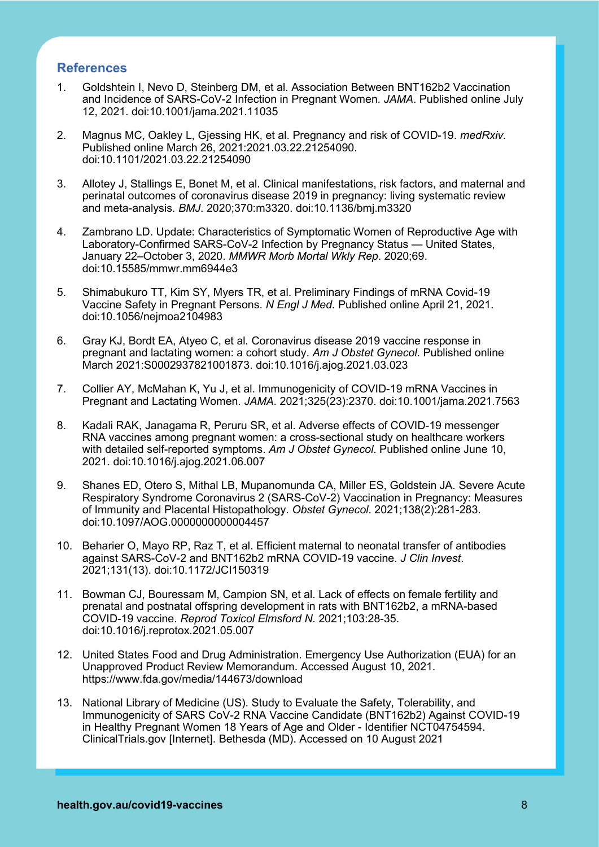# **References**

- 1. Goldshtein I, Nevo D, Steinberg DM, et al. Association Between BNT162b2 Vaccination and Incidence of SARS-CoV-2 Infection in Pregnant Women. *JAMA*. Published online July 12, 2021. doi:10.1001/jama.2021.11035
- 2. Magnus MC, Oakley L, Gjessing HK, et al. Pregnancy and risk of COVID-19. *medRxiv*. Published online March 26, 2021:2021.03.22.21254090. doi:10.1101/2021.03.22.21254090
- 3. Allotey J, Stallings E, Bonet M, et al. Clinical manifestations, risk factors, and maternal and perinatal outcomes of coronavirus disease 2019 in pregnancy: living systematic review and meta-analysis. *BMJ*. 2020;370:m3320. doi:10.1136/bmj.m3320
- 4. Zambrano LD. Update: Characteristics of Symptomatic Women of Reproductive Age with Laboratory-Confirmed SARS-CoV-2 Infection by Pregnancy Status — United States, January 22–October 3, 2020. *MMWR Morb Mortal Wkly Rep*. 2020;69. doi:10.15585/mmwr.mm6944e3
- 5. Shimabukuro TT, Kim SY, Myers TR, et al. Preliminary Findings of mRNA Covid-19 Vaccine Safety in Pregnant Persons. *N Engl J Med*. Published online April 21, 2021. doi:10.1056/nejmoa2104983
- 6. Gray KJ, Bordt EA, Atyeo C, et al. Coronavirus disease 2019 vaccine response in pregnant and lactating women: a cohort study. *Am J Obstet Gynecol*. Published online March 2021:S0002937821001873. doi:10.1016/j.ajog.2021.03.023
- 7. Collier AY, McMahan K, Yu J, et al. Immunogenicity of COVID-19 mRNA Vaccines in Pregnant and Lactating Women. *JAMA*. 2021;325(23):2370. doi:10.1001/jama.2021.7563
- 8. Kadali RAK, Janagama R, Peruru SR, et al. Adverse effects of COVID-19 messenger RNA vaccines among pregnant women: a cross-sectional study on healthcare workers with detailed self-reported symptoms. *Am J Obstet Gynecol*. Published online June 10, 2021. doi:10.1016/j.ajog.2021.06.007
- 9. Shanes ED, Otero S, Mithal LB, Mupanomunda CA, Miller ES, Goldstein JA. Severe Acute Respiratory Syndrome Coronavirus 2 (SARS-CoV-2) Vaccination in Pregnancy: Measures of Immunity and Placental Histopathology. *Obstet Gynecol*. 2021;138(2):281-283. doi:10.1097/AOG.0000000000004457
- 10. Beharier O, Mayo RP, Raz T, et al. Efficient maternal to neonatal transfer of antibodies against SARS-CoV-2 and BNT162b2 mRNA COVID-19 vaccine. *J Clin Invest*. 2021;131(13). doi:10.1172/JCI150319
- 11. Bowman CJ, Bouressam M, Campion SN, et al. Lack of effects on female fertility and prenatal and postnatal offspring development in rats with BNT162b2, a mRNA-based COVID-19 vaccine. *Reprod Toxicol Elmsford N*. 2021;103:28-35. doi:10.1016/j.reprotox.2021.05.007
- 12. United States Food and Drug Administration. Emergency Use Authorization (EUA) for an Unapproved Product Review Memorandum. Accessed August 10, 2021. https://www.fda.gov/media/144673/download
- 13. National Library of Medicine (US). Study to Evaluate the Safety, Tolerability, and Immunogenicity of SARS CoV-2 RNA Vaccine Candidate (BNT162b2) Against COVID-19 in Healthy Pregnant Women 18 Years of Age and Older - Identifier NCT04754594. ClinicalTrials.gov [Internet]. Bethesda (MD). Accessed on 10 August 2021